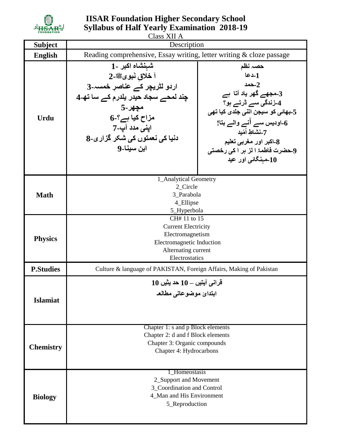

## **IISAR Foundation Higher Secondary School Syllabus of Half Yearly Examination 2018-19**

|                  | Class XII A                                                                                                                                                                                            |                                                                                                                                                                                                                                                                          |
|------------------|--------------------------------------------------------------------------------------------------------------------------------------------------------------------------------------------------------|--------------------------------------------------------------------------------------------------------------------------------------------------------------------------------------------------------------------------------------------------------------------------|
| <b>Subject</b>   | Description                                                                                                                                                                                            |                                                                                                                                                                                                                                                                          |
| <b>English</b>   | Reading comprehensive, Essay writing, letter writing & cloze passage                                                                                                                                   |                                                                                                                                                                                                                                                                          |
| <b>Urdu</b>      | شهنشاه اكبر ـ1<br>اً خلاق نُبوئٍ ﷺ-2<br>اردو لٹریچر کے عناصر خمسہ۔3<br>چند لمحے سجاد حیدر یلدرم کے سا تھ۔4<br>مچهر-5<br>مزاح کیا ہے؟۔6<br>ايني مدد آپ-7<br>دنیا کی نعمتوں کی شکر گزاری۔8<br>ابن سينا۔9 | حصہ نظم<br>1۔دعا<br>حمد $-2$<br>3۔مجھے گھر یاد آتا ہے<br>4۔زندگی سے ڈرتے ہو؟<br>5-بھائ <i>ی</i> کو سیجن اتن <i>ی ج</i> لدی کیا تھ <i>ی</i><br>6۔اودیس سے انے والے بتا!<br>7-نشاط أمّيد<br>8۔اکبر اور مغربی تعلیم<br>9حضرت فاطمۃ ا لز ہر ا کی رخصتی<br>10۔مېنگائی اور عید |
| <b>Math</b>      | 1_Analytical Geometry<br>2_Circle<br>3 Parabola<br>4_Ellipse<br>5_Hyperbola                                                                                                                            |                                                                                                                                                                                                                                                                          |
| <b>Physics</b>   | CH# 11 to 15<br><b>Current Electricity</b><br>Electromagnetism<br>Electromagnetic Induction<br>Alternating current<br>Electrostatics                                                                   |                                                                                                                                                                                                                                                                          |
| <b>P.Studies</b> | Culture & language of PAKISTAN, Foreign Affairs, Making of Pakistan                                                                                                                                    |                                                                                                                                                                                                                                                                          |
| <b>Islamiat</b>  | $10$ قرانی آیتیں ـــ 10 حد یثیں<br>ابتدائ موضوعات <i>ی</i> مطالعہ                                                                                                                                      |                                                                                                                                                                                                                                                                          |
| <b>Chemistry</b> | Chapter 1: s and p Block elements<br>Chapter 2: d and f Block elements<br>Chapter 3: Organic compounds<br>Chapter 4: Hydrocarbons                                                                      |                                                                                                                                                                                                                                                                          |
| <b>Biology</b>   | 1_Homeostasis<br>2_Support and Movement<br>3_Coordination and Control<br>4_Man and His Environment<br>5_Reproduction                                                                                   |                                                                                                                                                                                                                                                                          |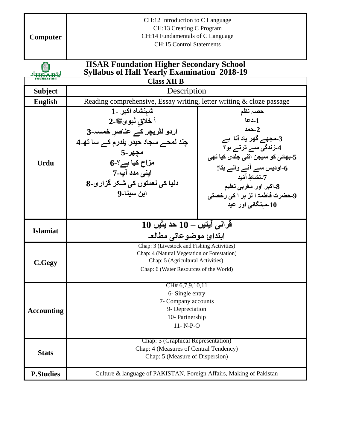| Computer                       | CH:12 Introduction to C Language<br>CH:13 Creating C Program<br>CH:14 Fundamentals of C Language<br><b>CH:15 Control Statements</b>                                                                                                     |                                                                                                                                                                                                                                                 |  |
|--------------------------------|-----------------------------------------------------------------------------------------------------------------------------------------------------------------------------------------------------------------------------------------|-------------------------------------------------------------------------------------------------------------------------------------------------------------------------------------------------------------------------------------------------|--|
|                                |                                                                                                                                                                                                                                         |                                                                                                                                                                                                                                                 |  |
|                                | <b>IISAR Foundation Higher Secondary School</b><br><b>Syllabus of Half Yearly Examination 2018-19</b>                                                                                                                                   |                                                                                                                                                                                                                                                 |  |
|                                | <b>Class XII B</b>                                                                                                                                                                                                                      |                                                                                                                                                                                                                                                 |  |
| <b>Subject</b>                 | Description                                                                                                                                                                                                                             |                                                                                                                                                                                                                                                 |  |
| <b>English</b>                 | Reading comprehensive, Essay writing, letter writing & cloze passage                                                                                                                                                                    |                                                                                                                                                                                                                                                 |  |
| <b>Urdu</b><br><b>Islamiat</b> | شهنشاه اكبر ـ1<br>اً خلاق نُبويﷺ۔2<br>اردو لٹریچر کے عناصر خمسہ۔3<br>چند لمحے سجاد حیدر یلدرم کے سا تھ۔4<br>مچهر ـ5<br>مزاح کیا ہے؟۔6<br>اینی مدد آپ-7<br>دنیا کی نعمتوں کی شکر گزاری۔8<br>ابن سينا۔9<br>$10$ قرانی ایتیں $-10$ حد یثیں | حصہ نظم<br>1ـدعا<br>حمد $-2$<br>3۔مجھے گھر یاد آتا ہے<br>4۔زندگی سے ڈرتے ہو؟<br>5۔بھائی کو سیجن اتنی جلدی کیا تھی<br>6۔اودیس سے انے والے بتا!<br>7-نشاط أمّبد<br>8۔اکبر اور مغربی تعلیم<br>9حضرت فاطمۃ ا لز ہر ا کی رخصتی<br>10۔مېنگائی اور عید |  |
|                                | ابتدائ موضوعاتى مطالعه                                                                                                                                                                                                                  |                                                                                                                                                                                                                                                 |  |
| C.Gegy                         | Chap: 3 (Livestock and Fishing Activities)<br>Chap: 4 (Natural Vegetation or Forestation)<br>Chap: 5 (Agricultural Activities)<br>Chap: 6 (Water Resources of the World)                                                                |                                                                                                                                                                                                                                                 |  |
| <b>Accounting</b>              | CH# 6,7,9,10,11<br>6- Single entry<br>7- Company accounts<br>9- Depreciation<br>10- Partnership<br>$11 - N-P-O$                                                                                                                         |                                                                                                                                                                                                                                                 |  |
| <b>Stats</b>                   | Chap: 3 (Graphical Representation)<br>Chap: 4 (Measures of Central Tendency)<br>Chap: 5 (Measure of Dispersion)                                                                                                                         |                                                                                                                                                                                                                                                 |  |
| <b>P.Studies</b>               | Culture & language of PAKISTAN, Foreign Affairs, Making of Pakistan                                                                                                                                                                     |                                                                                                                                                                                                                                                 |  |